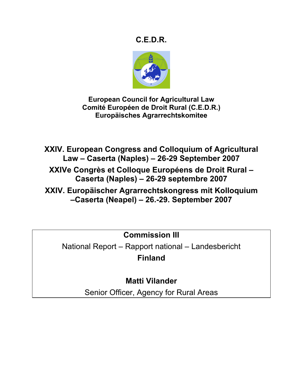# **C.E.D.R.**



**European Council for Agricultural Law Comité Européen de Droit Rural (C.E.D.R.) Europäisches Agrarrechtskomitee**

**XXIV. European Congress and Colloquium of Agricultural Law – Caserta (Naples) – 26-29 September 2007 XXIVe Congrès et Colloque Européens de Droit Rural – Caserta (Naples) – 26-29 septembre 2007 XXIV. Europäischer Agrarrechtskongress mit Kolloquium –Caserta (Neapel) – 26.-29. September 2007**

**Commission III**

National Report – Rapport national – Landesbericht **Finland**

**Matti Vilander**

Senior Officer, Agency for Rural Areas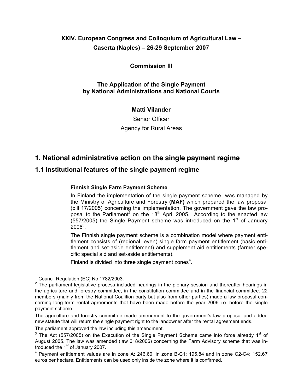## **XXIV. European Congress and Colloquium of Agricultural Law – Caserta (Naples) – 26-29 September 2007**

### **Commission III**

### **The Application of the Single Payment by National Administrations and National Courts**

### **Matti Vilander**

Senior Officer Agency for Rural Areas

## **1. National administrative action on the single payment regime**

### **1.1 Institutional features of the single payment regime**

#### **Finnish Single Farm Payment Scheme**

In Finland the implementation of the single payment scheme<sup>1</sup> was managed by the Ministry of Agriculture and Forestry **(MAF)** which prepared the law proposal (bill 17/2005) concerning the implementation. The government gave the law proposal to the Parliament<sup>2</sup> on the 18<sup>th</sup> April 2005. According to the enacted law (557/2005) the Single Payment scheme was introduced on the  $1<sup>st</sup>$  of January  $2006^3$ .

The Finnish single payment scheme is a combination model where payment entitlement consists of (regional, even) single farm payment entitlement (basic entitlement and set-aside entitlement) and supplement aid entitlements (farmer specific special aid and set-aside entitlements).

Finland is divided into three single payment zones $4$ .

<sup>&</sup>lt;sup>1</sup> Council Regulation (EC) No 1782/2003.

<sup>&</sup>lt;sup>2</sup> The parliament legislative process included hearings in the plenary session and thereafter hearings in the agriculture and forestry committee, in the constitution committee and in the financial committee. 22 members (mainly from the National Coalition party but also from other parties) made a law proposal concerning long-term rental agreements that have been made before the year 2006 i.e. before the single payment scheme.

The agriculture and forestry committee made amendment to the government's law proposal and added new statute that will return the single payment right to the landowner after the rental agreement ends.

The parliament approved the law including this amendment.

 $3$  The Act (557/2005) on the Execution of the Single Payment Scheme came into force already 1<sup>st</sup> of August 2005. The law was amended (law 618/2006) concerning the Farm Advisory scheme that was introduced the 1<sup>st</sup> of January 2007.

<sup>4</sup> Payment entitlement values are in zone A: 246.60, in zone B-C1: 195.84 and in zone C2-C4: 152.67 euros per hectare. Entitlements can be used only inside the zone where it is confirmed.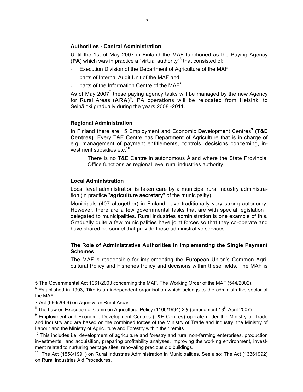#### **Authorities - Central Administration**

Until the 1st of May 2007 in Finland the MAF functioned as the Paying Agency (PA) which was in practice a "virtual authority"<sup>5</sup> that consisted of:

- Execution Division of the Department of Agriculture of the MAF
- parts of Internal Audit Unit of the MAF and
- parts of the Information Centre of the MAF $6$ .

As of May 2007<sup>7</sup> these paying agency tasks will be managed by the new Agency for Rural Areas (**ARA)8 .** PA operations will be relocated from Helsinki to Seinäjoki gradually during the years 2008 -2011.

#### **Regional Administration**

In Finland there are 15 Employment and Economic Development Centres**<sup>9</sup> (T&E Centres)**. Every T&E Centre has Department of Agriculture that is in charge of e.g. management of payment entitlements, controls, decisions concerning, investment subsidies etc.<sup>10</sup>

There is no T&E Centre in autonomous Åland where the State Provincial Office functions as regional level rural industries authority.

#### **Local Administration**

Local level administration is taken care by a municipal rural industry administration (in practice "**agriculture secretary**" of the municipality).

Municipals (407 altogether) in Finland have traditionally very strong autonomy. However, there are a few governmental tasks that are with special legislation<sup>11</sup> delegated to municipalities. Rural industries administration is one example of this. Gradually quite a few municipalities have joint forces so that they co-operate and have shared personnel that provide these administrative services.

#### **The Role of Administrative Authorities in Implementing the Single Payment Schemes**

The MAF is responsible for implementing the European Union's Common Agricultural Policy and Fisheries Policy and decisions within these fields. The MAF is

<sup>5</sup> The Governmental Act 1061/2003 concerning the MAF, The Working Order of the MAF (544/2002).

 $6$  Established in 1993, Tike is an independent organisation which belongs to the administrative sector of the MAF.

<sup>7</sup> Act (666/2006) on Agency for Rural Areas

<sup>&</sup>lt;sup>8</sup> The Law on Execution of Common Agricultural Policy (1100/1994) 2 § (amendment 13<sup>th</sup> April 2007).

<sup>&</sup>lt;sup>9</sup> Employment and Economic Development Centres (T&E Centres) operate under the Ministry of Trade and Industry and are based on the combined forces of the Ministry of Trade and Industry, the Ministry of Labour and the Ministry of Agriculture and Forestry within their remits.

 $10$  This includes i.e. development of agriculture and forestry and rural non-farming enterprises, production investments, land acquisition, preparing profitability analyses, improving the working environment, investment related to nurturing heritage sites, renovating precious old buildings.

<sup>&</sup>lt;sup>11</sup> The Act (1558/1991) on Rural Industries Administration in Municipalities. See also: The Act (13361992) on Rural Industries Aid Procedures.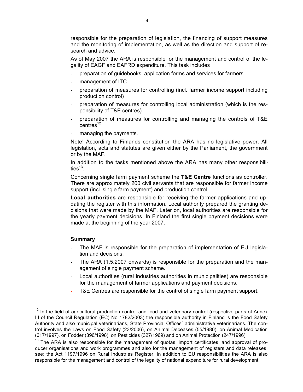responsible for the preparation of legislation, the financing of support measures and the monitoring of implementation, as well as the direction and support of research and advice.

As of May 2007 the ARA is responsible for the management and control of the legality of EAGF and EAFRD expenditure. This task includes

- preparation of guidebooks, application forms and services for farmers
- management of ITC
- preparation of measures for controlling (incl. farmer income support including production control)
- preparation of measures for controlling local administration (which is the responsibility of T&E centres)
- preparation of measures for controlling and managing the controls of T&E  $centres<sup>12</sup>$
- managing the payments.

Note! According to Finlands constitution the ARA has no legislative power. All legislation, acts and statutes are given either by the Parliament, the government or by the MAF.

In addition to the tasks mentioned above the ARA has many other responsibilities $^{13}$ .

Concerning single farm payment scheme the **T&E Centre** functions as controller. There are approximately 200 civil servants that are responsible for farmer income support (incl. single farm payment) and production control.

**Local authorities** are responsible for receiving the farmer applications and updating the register with this information. Local authority prepared the granting decisions that were made by the MAF. Later on, local authorities are responsible for the yearly payment decisions. In Finland the first single payment decisions were made at the beginning of the year 2007.

#### **Summary**

- The MAF is responsible for the preparation of implementation of EU legislation and decisions.
- The ARA (1.5.2007 onwards) is responsible for the preparation and the management of single payment scheme.
- Local authorities (rural industries authorities in municipalities) are responsible for the management of farmer applications and payment decisions.
- T&E Centres are responsible for the control of single farm payment support.

 $12$  In the field of agricultural production control and food and veterinary control (respective parts of Annex III of the Council Regulation (EC) No 1782/2003) the responsible authority in Finland is the Food Safety Authority and also municipal veterinarians, State Provincial Offices´ administrative veterinarians. The control involves the Laws on Food Safety (23/2006), on Animal Deceases (55/1980), on Animal Medication (617/1997), on Fodder (396/1998), on Pesticides (327/1969) and on Animal Protection (247/1996).

 $13$  The ARA is also responsible for the management of quotas, import certificates, and approval of producer organisations and work programmes and also for the management of registers and data releases, see: the Act 1197/1996 on Rural Industries Register. In addition to EU responsibilities the ARA is also responsible for the management and control of the legality of national expenditure for rural development.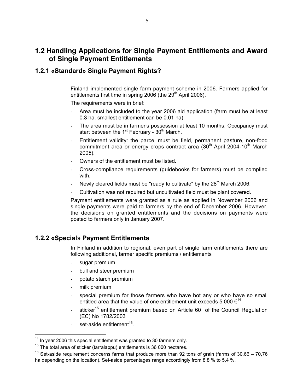## **1.2 Handling Applications for Single Payment Entitlements and Award of Single Payment Entitlements**

### **1.2.1 «Standard» Single Payment Rights?**

Finland implemented single farm payment scheme in 2006. Farmers applied for entitlements first time in spring  $2006$  (the  $29<sup>th</sup>$  April 2006).

The requirements were in brief:

- Area must be included to the year 2006 aid application (farm must be at least 0.3 ha, smallest entitlement can be 0.01 ha).
- The area must be in farmer's possession at least 10 months. Occupancy must start between the 1<sup>st</sup> February - 30<sup>th</sup> March.
- Entitlement validity: the parcel must be field, permanent pasture, non-food commitment area or energy crops contract area  $(30<sup>th</sup>$  April 2004-10<sup>th</sup> March 2005).
- Owners of the entitlement must be listed.
- Cross-compliance requirements (guidebooks for farmers) must be complied with.
- Newly cleared fields must be "ready to cultivate" by the  $28<sup>th</sup>$  March 2006.
- Cultivation was not required but uncultivated field must be plant covered.

Payment entitlements were granted as a rule as applied in November 2006 and single payments were paid to farmers by the end of December 2006. However, the decisions on granted entitlements and the decisions on payments were posted to farmers only in January 2007.

### **1.2.2 «Special» Payment Entitlements**

In Finland in addition to regional, even part of single farm entitlements there are following additional, farmer specific premiums / entitlements

- sugar premium
- bull and steer premium
- potato starch premium
- milk premium
- special premium for those farmers who have hot any or who have so small entitled area that the value of one entitlement unit exceeds 5 000  $\epsilon^{14}$
- sticker<sup>15</sup> entitlement premium based on Article 60 of the Council Regulation (EC) No 1782/2003
- set-aside entitlement<sup>16</sup>.

 <sup>14</sup> In year 2006 this special entitlement was granted to 30 farmers only.

 $15$  The total area of sticker (tarralappu) entitlements is 36 000 hectares.

 $16$  Set-aside requirement concerns farms that produce more than 92 tons of grain (farms of 30,66 – 70,76 ha depending on the location). Set-aside percentages range accordingly from 8,8 % to 5,4 %.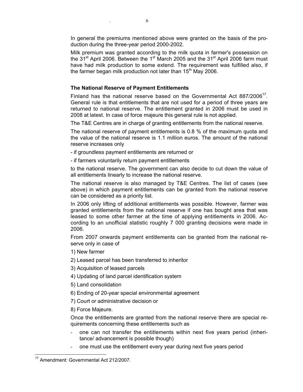In general the premiums mentioned above were granted on the basis of the production during the three-year period 2000-2002.

Milk premium was granted according to the milk quota in farmer's possession on the  $31<sup>st</sup>$  April 2006. Between the 1<sup>st</sup> March 2005 and the  $31<sup>st</sup>$  April 2006 farm must have had milk production to some extend. The requirement was fulfilled also, if the farmer began milk production not later than  $15<sup>th</sup>$  May 2006.

#### **The National Reserve of Payment Entitlements**

Finland has the national reserve based on the Governmental Act 887/2006 $^{17}$ . General rule is that entitlements that are not used for a period of three years are returned to national reserve. The entitlement granted in 2006 must be used in 2008 at latest. In case of force majeure this general rule is not applied.

The T&E Centres are in charge of granting entitlements from the national reserve.

The national reserve of payment entitlements is 0.8 % of the maximum quota and the value of the national reserve is 1.1 million euros. The amount of the national reserve increases only

- if groundless payment entitlements are returned or
- if farmers voluntarily return payment entitlements

to the national reserve. The government can also decide to cut down the value of all entitlements linearly to increase the national reserve.

The national reserve is also managed by T&E Centres. The list of cases (see above) in which payment entitlements can be granted from the national reserve can be considered as a priority list.

In 2006 only lifting of additional entitlements was possible. However, farmer was granted entitlements from the national reserve if one has bought area that was leased to some other farmer at the time of applying entitlements in 2006. According to an unofficial statistic roughly 7 000 granting decisions were made in 2006.

From 2007 onwards payment entitlements can be granted from the national reserve only in case of

1) New farmer

2) Leased parcel has been transferred to inheritor

3) Acquisition of leased parcels

- 4) Updating of land parcel identification system
- 5) Land consolidation

6) Ending of 20-year special environmental agreement

7) Court or administrative decision or

8) Force Majeure.

Once the entitlements are granted from the national reserve there are special requirements concerning these entitlements such as

- one can not transfer the entitlements within next five years period (inheritance/ advancement is possible though)
- one must use the entitlement every year during next five years period

 <sup>17</sup> Amendment: Governmental Act 212/2007.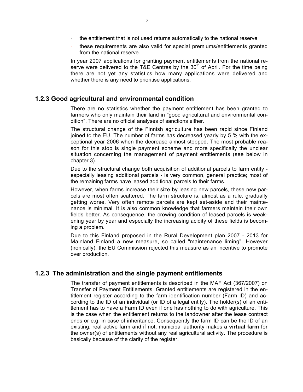- these requirements are also valid for special premiums/entitlements granted from the national reserve.

In year 2007 applications for granting payment entitlements from the national reserve were delivered to the T&E Centres by the  $30<sup>th</sup>$  of April. For the time being there are not yet any statistics how many applications were delivered and whether there is any need to prioritise applications.

#### **1.2.3 Good agricultural and environmental condition**

There are no statistics whether the payment entitlement has been granted to farmers who only maintain their land in "good agricultural and environmental condition". There are no official analyses of sanctions either.

The structural change of the Finnish agriculture has been rapid since Finland joined to the EU. The number of farms has decreased yearly by 5 % with the exceptional year 2006 when the decrease almost stopped. The most probable reason for this stop is single payment scheme and more specifically the unclear situation concerning the management of payment entitlements (see below in chapter 3).

Due to the structural change both acquisition of additional parcels to farm entity especially leasing additional parcels - is very common, general practice; most of the remaining farms have leased additional parcels to their farms.

However, when farms increase their size by leasing new parcels, these new parcels are most often scattered. The farm structure is, almost as a rule, gradually getting worse. Very often remote parcels are kept set-aside and their maintenance is minimal. It is also common knowledge that farmers maintain their own fields better. As consequence, the crowing condition of leased parcels is weakening year by year and especially the increasing acidity of these fields is becoming a problem.

Due to this Finland proposed in the Rural Development plan 2007 - 2013 for Mainland Finland a new measure, so called "maintenance liming". However (ironically), the EU Commission rejected this measure as an incentive to promote over production.

#### **1.2.3 The administration and the single payment entitlements**

The transfer of payment entitlements is described in the MAF Act (367/2007) on Transfer of Payment Entitlements. Granted entitlements are registered in the entitlement register according to the farm identification number (Farm ID) and according to the ID of an individual (or ID of a legal entity). The holder(s) of an entitlement has to have a Farm ID even if one has nothing to do with agriculture. This is the case when the entitlement returns to the landowner after the lease contract ends or e.g. in case of inheritance. Consequently the farm ID can be the ID of an existing, real active farm and if not, municipal authority makes a **virtual farm** for the owner(s) of entitlements without any real agricultural activity. The procedure is basically because of the clarity of the register.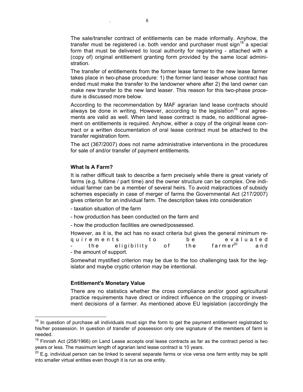The sale/transfer contract of entitlements can be made informally. Anyhow, the transfer must be registered i.e. both vendor and purchaser must sign<sup>18</sup> a special form that must be delivered to local authority for registering - attached with a (copy of) original entitlement granting form provided by the same local administration.

The transfer of entitlements from the former lease farmer to the new lease farmer takes place in two-phase procedure: 1) the former land leaser whose contract has ended must make the transfer to the landowner where after 2) the land owner can make new transfer to the new land leaser. This reason for this two-phase procedure is discussed more below.

According to the recommendation by MAF agrarian land lease contracts should always be done in writing. However, according to the legislation<sup>19</sup> oral agreements are valid as well. When land lease contract is made, no additional agreement on entitlements is required. Anyhow, either a copy of the original lease contract or a written documentation of oral lease contract must be attached to the transfer registration form.

The act (367/2007) does not name administrative interventions in the procedures for sale of and/or transfer of payment entitlements.

#### **What Is A Farm?**

It is rather difficult task to describe a farm precisely while there is great variety of farms (e.g. fulltime / part time) and the owner structure can be complex. One individual farmer can be a member of several heirs. To avoid malpractices of subsidy schemes especially in case of merger of farms the Governmental Act (217/2007) gives criterion for an individual farm. The description takes into consideration

- taxation situation of the farm
- how production has been conducted on the farm and
- how the production facilities are owned/possessed.

However, as it is, the act has no exact criteria but gives the general minimum requirements to be evaluated<br>- the eligibility of the farmer<sup>20</sup> and the eligibility of the farmer<sup>20</sup> and - the amount of support.

Somewhat mystified criterion may be due to the too challenging task for the legislator and maybe cryptic criterion may be intentional.

#### **Entitlement's Monetary Value**

There are no statistics whether the cross compliance and/or good agricultural practice requirements have direct or indirect influence on the cropping or investment decisions of a farmer. As mentioned above EU legislation (accordingly the

 $18$  In question of purchase all individuals must sign the form to get the payment entitlement registrated to his/her possession. In question of transfer of possession only one signature of the members of farm is needed.

 $19$  Finnish Act (258/1966) on Land Lease accepts oral lease contracts as far as the contract period is two years or less. The maximum length of agrarian land lease contract is 10 years.

 $20$  E.g. individual person can be linked to several separate farms or vice versa one farm entity may be split into smaller virtual entities even though it is run as one entity.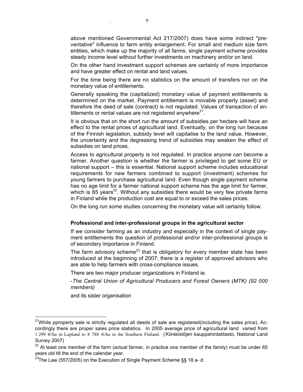above mentioned Governmental Act 217/2007) does have some indirect "preventative" influence to farm entity enlargement. For small and medium size farm entities, which make up the majority of all farms, single payment scheme provides steady income level without further investments on machinery and/or on land.

On the other hand investment support schemes are certainly of more importance and have greater effect on rental and land values.

For the time being there are no statistics on the amount of transfers nor on the monetary value of entitlements.

Generally speaking the (capitalized) monetary value of payment entitlements is determined on the market. Payment entitlement is movable property (asset) and therefore the deed of sale (contract) is not regulated. Values of transaction of entitlements or rental values are not registered anywhere $^{21}$ .

It is obvious that on the short run the amount of subsidies per hectare will have an effect to the rental prices of agricultural land. Eventually, on the long run because of the Finnish legislation, subsidy level will capitalise to the land value. However, the uncertainty and the degreasing trend of subsidies may weaken the effect of subsidies on land prices.

Access to agricultural property is not regulated. In practice anyone can become a farmer. Another question is whether the farmer is privileged to get some EU or national support – this is essential. National support scheme includes educational requirements for new farmers combined to support (investment) schemes for young farmers to purchase agricultural land. Even though single payment scheme has no age limit for a farmer national support scheme has the age limit for farmer, which is  $65$  years<sup>22</sup>. Without any subsidies there would be very few private farms in Finland while the production cost are equal to or exceed the sales prices.

On the long run some studies concerning the monetary value will certainly follow.

#### **Professional and inter-professional groups in the agricultural sector**

If we consider farming as an industry and especially in the context of single payment entitlements the question of professional and/or inter-professional groups is of secondary importance in Finland.

The farm advisory scheme<sup>23</sup> that is obligatory for every member state has been introduced at the beginning of 2007; there is a register of approved advisors who are able to help farmers with cross-compliance issues.

There are two major producer organizations in Finland ie.

-*The Central Union of Agricultural Producers and Forest Owners (MTK) (92 000 members)*

and its sister organisation

 <sup>21</sup> While pproperty sale is strictly regulated all deeds of sale are registered(including the sales price). Accordingly there are proper sales price statistics. In 2005 average price of agricultural land varied from 1 299 €/ha in Lapland to 8 788 €/ha in the Southern Finland. (Kiinteistöjen kauppahintatilasto, National Land Survey 2007)

 $22$  At least one member of the farm (actual farmer, in practice one member of the family) must be under 65 years old till the end of the calendar year.

 $^{23}$ The Law (557/2005) on the Execution of Single Payment Scheme §§ 18 a- d.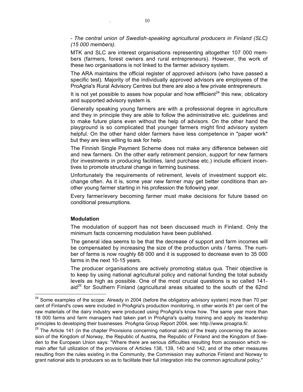- *The central union of Swedish-speaking agricultural producers in Finland (SLC) (15 000 members)*.

MTK and SLC are interest organisations representing altogether 107 000 members (farmers, forest owners and rural entrepreneurs). However, the work of these two organisations is not linked to the farmer advisory system.

The ARA maintains the official register of approved advisors (who have passed a specific test). Majority of the individually approved advisors are employees of the ProAgria's Rural Advisory Centres but there are also a few private entrepreneurs.

It is not yet possible to asses how popular and how effficient $^{24}$  this new, oblicatory and supported advisory system is.

Generally speaking young farmers are with a professional degree in agriculture and they in principle they are able to follow the administrative etc. guidelines and to make future plans even without the help of advisors. On the other hand the playground is so complicated that younger farmers might find advisory system helpful. On the other hand older farmers have less competence in "paper work" but they are less willing to ask for help.

The Finnish Single Payment Scheme does not make any difference between old and new farmers. On the other early retirement pension, support for new farmers (for investments in producing facilities, land purchase etc.) include efficient incentives to promote structural change in farming business.

Unfortunately the requirements of retirement, levels of investment support etc. change often. As it is, some year new farmer may get better conditions than another young farmer starting in his profession the following year.

Every farmer/every becoming farmer must make decisions for future based on conditional presumptions.

#### **Modulation**

The modulation of support has not been discussed much in Finland. Only the minimum facts concerning modulation have been published.

The general idea seems to be that the decrease of support and farm incomes will be compensated by increasing the size of the production units / farms. The number of farms is now roughly 68 000 and it is supposed to decrease even to 35 000 farms in the next 10-15 years.

The producer organisations are actively promoting status qua. Their objective is to keep by using national agricultural policy and national funding the total subsidy levels as high as possible. One of the most crucial questions is so called 141 aid<sup>25</sup> for Southern Finland (agricultural areas situated to the south of the 62nd

<sup>&</sup>lt;sup>24</sup> Some examples of the scope: Already in 2004 (before the obligatory advisory system) more than 70 per cent of Finland's cows were included in ProAgria's production monitoring, in other words 81 per cent of the raw materials of the dairy industry were produced using ProAgria's know how. The same year more than 18 000 farms and farm managers had taken part in ProAgria's quality training and apply its leadership principles to developing their businesses. ProAgria Group Report 2004, see: http://www.proagria.fi/.

 $25$  The Article 141 (in the chapter Provisions concerning national aids) of the treaty concerning the accession of the Kingdom of Norway, the Republic of Austria, the Republic of Finland and the Kingdom of Sweden to the European Union says: "Where there are serious difficulties resulting from accession which remain after full utilization of the provisions of Articles 138, 139, 140 and 142, and of the other measures resulting from the rules existing in the Community, the Commission may authorize Finland and Norway to grant national aids to producers so as to facilitate their full integration into the common agricultural policy."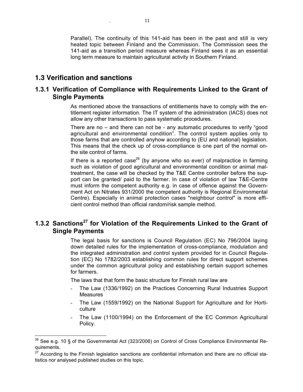Parallel). The continuity of this 141-aid has been in the past and still is very heated topic between Finland and the Commission. The Commission sees the 141-aid as a transition period measure whereas Finland sees it as an essential long term measure to maintain agricultural activity in Southern Finland.

### **1.3 Verification and sanctions**

### **1.3.1 Verification of Compliance with Requirements Linked to the Grant of Single Payments**

As mentioned above the transactions of entitlements have to comply with the entitlement register information. The IT system of the administration (IACS) does not allow any other transactions to pass systematic procedures.

There are no – and there can not be - any automatic procedures to verify "good agricultural and environmental condition". The control system applies only to those farms that are controlled anyhow according to (EU and national) legislation. This means that the check up of cross-compliance is one part of the normal onthe site control of farms.

If there is a reported case<sup>26</sup> (by anyone who so ever) of malpractice in farming such as violation of good agricultural and environmental condition or animal maltreatment, the case will be checked by the T&E Centre controller before the support can be granted/ paid to the farmer. In case of violation of law T&E-Centre must inform the competent authority e.g. in case of offence against the Government Act on Nitrates 931/2000 the competent authority is Regional Environmental Centre). Especially in animal protection cases "neighbour control" is more efficient control method than official random/risk sample method.

## **1.3.2 Sanctions27 for Violation of the Requirements Linked to the Grant of Single Payments**

The legal basis for sanctions is Council Regulation (EC) No 796/2004 laying down detailed rules for the implementation of cross-compliance, modulation and the integrated administration and control system provided for in Council Regulation (EC) No 1782/2003 establishing common rules for direct support schemes under the common agricultural policy and establishing certain support schemes for farmers.

The laws that that form the basic structure for Finnish rural law are

- The Law (1336/1992) on the Practices Concerning Rural Industries Support Measures
- The Law (1559/1992) on the National Support for Agriculture and for Horticulture
- The Law (1100/1994) on the Enforcement of the EC Common Agricultural Policy.

 $^{26}$  See e.g. 10 § of the Governmental Act (323/2006) on Control of Cross Compliance Environmental Requirements.

<sup>&</sup>lt;sup>27</sup> According to the Finnish legislation sanctions are confidential information and there are no official statistics nor analysed published studies on this topic.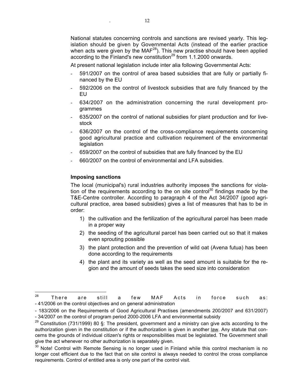National statutes concerning controls and sanctions are revised yearly. This legislation should be given by Governmental Acts (instead of the earlier practice when acts were given by the MAF<sup>28</sup>). This new practise should have been applied according to the Finland's new constitution $^{29}$  from 1.1.2000 onwards.

At present national legislation include inter alia following Governmental Acts:

- 591/2007 on the control of area based subsidies that are fully or partially financed by the EU
- 592/2006 on the control of livestock subsidies that are fully financed by the EU
- 634/2007 on the administration concerning the rural development programmes
- 635/2007 on the control of national subsidies for plant production and for livestock
- 636/2007 on the control of the cross-compliance requirements concerning good agricultural practice and cultivation requirement of the environmental legislation
- 659/2007 on the control of subsidies that are fully financed by the EU
- 660/2007 on the control of environmental and LFA subsidies.

#### **Imposing sanctions**

The local (municipal's) rural industries authority imposes the sanctions for violation of the requirements according to the on site control<sup>30</sup> findings made by the T&E-Centre controller. According to paragraph 4 of the Act 34/2007 (good agricultural practice, area based subsidies) gives a list of measures that has to be in order:

- 1) the cultivation and the fertilization of the agricultural parcel has been made in a proper way
- 2) the seeding of the agricultural parcel has been carried out so that it makes even sprouting possible
- 3) the plant protection and the prevention of wild oat (Avena futua) has been done according to the requirements
- 4) the plant and its variety as well as the seed amount is suitable for the region and the amount of seeds takes the seed size into consideration

 <sup>28</sup> There are still a few MAF Acts in force such as: - 41/2006 on the control objectives and on general administration

<sup>- 183/2006</sup> on the Requirements of Good Agricultural Practises (amendments 200/2007 and 631/2007) - 34/2007 on the control of program period 2000-2006 LFA and environmental subsidy

 $29$  Constitution (731/1999) 80 §: The president, government and a ministry can give acts according to the authorization given in the constitution or if the authorization is given in another law. Any statute that concerns the grounds of individual citizen's rights or responsibilities must be legislated. The Government shall give the act whenever no other authorization is separately given.

 $30$  Note! Control with Remote Sensing is no longer used in Finland while this control mechanism is no longer cost efficient due to the fact that on site control is always needed to control the cross compliance requirements. Control of entitled area is only one part of the control visit.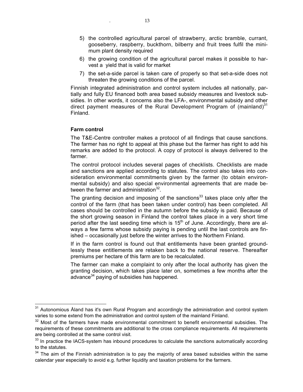- 5) the controlled agricultural parcel of strawberry, arctic bramble, currant, gooseberry, raspberry, buckthorn, bilberry and fruit trees fulfil the minimum plant density required
- 6) the growing condition of the agricultural parcel makes it possible to harvest a yield that is valid for market
- 7) the set-a-side parcel is taken care of properly so that set-a-side does not threaten the growing conditions of the parcel.

Finnish integrated administration and control system includes all nationally, partially and fully EU financed both area based subsidy measures and livestock subsidies. In other words, it concerns also the LFA-, environmental subsidy and other direct payment measures of the Rural Development Program of (mainland) $31$ Finland.

#### **Farm control**

The T&E-Centre controller makes a protocol of all findings that cause sanctions. The farmer has no right to appeal at this phase but the farmer has right to add his remarks are added to the protocol. A copy of protocol is always delivered to the farmer.

The control protocol includes several pages of checklists. Checklists are made and sanctions are applied according to statutes. The control also takes into consideration environmental commitments given by the farmer (to obtain environmental subsidy) and also special environmental agreements that are made between the farmer and administration<sup>32</sup>.

The granting decision and imposing of the sanctions<sup>33</sup> takes place only after the control of the farm (that has been taken under control) has been completed. All cases should be controlled in the autumn before the subsidy is paid. Because of the short growing season in Finland the control takes place in a very short time period after the last seeding time which is  $15<sup>th</sup>$  of June. Accordingly, there are always a few farms whose subsidy paying is pending until the last controls are finished – occasionally just before the winter arrives to the Northern Finland.

If in the farm control is found out that entitlements have been granted groundlessly these entitlements are retaken back to the national reserve. Thereafter premiums per hectare of this farm are to be recalculated.

The farmer can make a complaint to only after the local authority has given the granting decision, which takes place later on, sometimes a few months after the advance<sup>34</sup> paying of subsidies has happened.

<sup>&</sup>lt;sup>31</sup> Autonomious Åland has it's own Rural Program and accordingly the administration and control system varies to some extend from the administration and control system of the mainland Finland.

<sup>&</sup>lt;sup>32</sup> Most of the farmers have made environmental commitment to benefit environmental subsidies. The requirements of these commitments are additional to the cross compliance requirements. All requirements are being controlled at the same control visit.

 $33$  In practice the IACS-system has inbound procedures to calculate the sanctions automatically according to the statutes.

<sup>&</sup>lt;sup>34</sup> The aim of the Finnish administration is to pay the majority of area based subsidies within the same calendar year especially to avoid e.g. further liquidity and taxation problems for the farmers.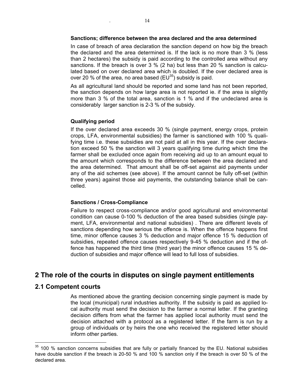In case of breach of area declaration the sanction depend on how big the breach the declared and the area determined is. If the lack is no more than 3 % (less than 2 hectares) the subsidy is paid according to the controlled area without any sanctions. If the breach is over 3 % (2 ha) but less than 20 % sanction is calculated based on over declared area which is doubled. If the over declared area is over 20 % of the area, no area based (EU $^{35}$ ) subsidy is paid.

As all agricultural land should be reported and some land has not been reported, the sanction depends on how large area is not reported ie. if the area is slightly more than 3 % of the total area, sanction is 1 % and if the undeclared area is considerably larger sanction is 2-3 % of the subsidy.

#### **Qualifying period**

If the over declared area exceeds 30 % (single payment, energy crops, protein crops, LFA, environmental subsidies) the farmer is sanctioned with 100 % qualifying time i.e. these subsidies are not paid at all in this year. If the over declaration exceed 50 % the sanction will 3 years qualifying time during which time the farmer shall be excluded once again from receiving aid up to an amount equal to the amount which corresponds to the difference between the area declared and the area determined. That amount shall be off-set against aid payments under any of the aid schemes (see above). If the amount cannot be fully off-set (within three years) against those aid payments, the outstanding balance shall be cancelled.

#### **Sanctions / Cross-Compliance**

Failure to respect cross-compliance and/or good agricultural and environmental condition can cause 0-100 % deduction of the area based subsidies (single payment, LFA, environmental and national subsidies) . There are different levels of sanctions depending how serious the offence is. When the offence happens first time, minor offence causes 3 % deduction and major offence 15 % deduction of subsidies, repeated offence causes respectively 9-45 % deduction and if the offence has happened the third time (third year) the minor offence causes 15 % deduction of subsidies and major offence will lead to full loss of subsidies.

## **2 The role of the courts in disputes on single payment entitlements**

### **2.1 Competent courts**

As mentioned above the granting decision concerning single payment is made by the local (municipal) rural industries authority. If the subsidy is paid as applied local authority must send the decision to the farmer a normal letter. If the granting decision differs from what the farmer has applied local authority must send the decision attached with a protocol as a registered letter. If the farm is run by a group of individuals or by heirs the one who received the registered letter should inform other parties.

 $35$  100 % sanction concerns subsidies that are fully or partially financed by the EU. National subsidies have double sanction if the breach is 20-50 % and 100 % sanction only if the breach is over 50 % of the declared area.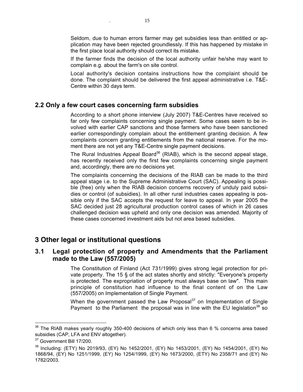Seldom, due to human errors farmer may get subsidies less than entitled or application may have been rejected groundlessly. If this has happened by mistake in the first place local authority should correct its mistake.

If the farmer finds the decision of the local authority unfair he/she may want to complain e.g. about the farm's on site control.

Local authority's decision contains instructions how the complaint should be done. The complaint should be delivered the first appeal administrative i.e. T&E-Centre within 30 days term.

#### **2.2 Only a few court cases concerning farm subsidies**

According to a short phone interview (July 2007) T&E-Centres have received so far only few complaints concerning single payment. Some cases seem to be involved with earlier CAP sanctions and those farmers who have been sanctioned earlier correspondingly complain about the entitlement granting decision. A few complaints concern granting entitlements from the national reserve. For the moment there are not yet any T&E-Centre single payment decisions.

The Rural Industries Appeal Board<sup>36</sup> (RIAB), which is the second appeal stage, has recently received only the first few complaints concerning single payment and, accordingly, there are no decisions yet.

The complaints concerning the decisions of the RIAB can be made to the third appeal stage i.e. to the Supreme Administrative Court (SAC). Appealing is possible (free) only when the RIAB decision concerns recovery of unduly paid subsidies or control (of subsidies). In all other rural industries cases appealing is possible only if the SAC accepts the request for leave to appeal. In year 2005 the SAC decided just 28 agricultural production control cases of which in 26 cases challenged decision was upheld and only one decision was amended. Majority of these cases concerned investment aids but not area based subsidies.

### **3 Other legal or institutional questions**

### **3.1 Legal protection of property and Amendments that the Parliament made to the Law (557/2005)**

The Constitution of Finland (Act 731/1999) gives strong legal protection for private property. The 15 § of the act states shortly and strictly: "Everyone's property is protected. The expropriation of property must always base on law". This main principle of constitution had influence to the final content of on the Law (557/2005) on Implementation of Single Payment.

When the government passed the Law Proposal $37$  on Implementation of Single Payment to the Parliament the proposal was in line with the EU legislation<sup>38</sup> so

 $36$  The RIAB makes yearly roughly 350-400 decisions of which only less than 6 % concerns area based subsidies (CAP, LFA and ENV altogether).

<sup>&</sup>lt;sup>37</sup> Government Bill 17/200.

<sup>38</sup> Including: (ETY) No 2019/93, (EY) No 1452/2001, (EY) No 1453/2001, (EY) No 1454/2001, (EY) No 1868/94, (EY) No 1251/1999, (EY) No 1254/1999, (EY) No 1673/2000, (ETY) No 2358/71 and (EY) No 1782/2003.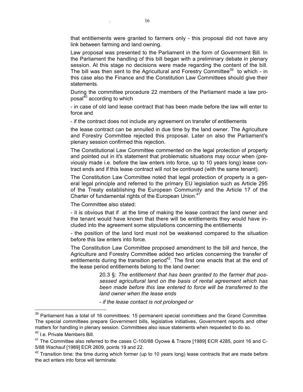that entitlements were granted to farmers only - this proposal did not have any link between farming and land owning.

Law proposal was presented to the Parliament in the form of Government Bill. In the Parliament the handling of this bill began with a preliminary debate in plenary session. At this stage no decisions were made regarding the content of the bill. The bill was then sent to the Agricultural and Forestry Committee $^{39}$  to which - in this case also the Finance and the Constitution Law Committees should give their **statements** 

During the committee procedure 22 members of the Parliament made a law proposal<sup>40</sup> according to which

- in case of old land lease contract that has been made before the law will enter to force and

- if the contract does not include any agreement on transfer of entitlements

the lease contract can be annulled in due time by the land owner. The Agriculture and Forestry Committee rejected this proposal. Later on also the Parliament's plenary session confirmed this rejection.

The Constitutional Law Committee commented on the legal protection of property and pointed out in it's statement that problematic situations may occur when (previously made i.e. before the law enters into force, up to 10 years long) lease contract ends and if this lease contract will not be continued (with the same tenant).

The Constitution Law Committee noted that legal protection of property is a general legal principle and referred to the primary EU legislation such as Article 295 of the Treaty establishing the European Community and the Article 17 of the Charter of fundamental rights of the European Union.<sup>41</sup>

The Committee also stated:

- it is obvious that if at the time of making the lease contract the land owner and the tenant would have known that there will be entitlements they would have included into the agreement some stipulations concerning the entitlements

- the position of the land lord must not be weakened compared to the situation before this law enters into force.

The Constitution Law Committee proposed amendment to the bill and hence, the Agriculture and Forestry Committee added two articles concerning the transfer of entitlements during the transition period $42$ . The first one enacts that at the end of the lease period entitlements belong to the land owner:

> 20.3 §: *The entitlement that has been granted to the farmer that possessed agricultural land on the basis of rental agreement which has been made before this law entered to force will be transferred to the land owner when the lease ends*

*- if the lease contact is not prolonged or*

<sup>&</sup>lt;sup>39</sup> Parliament has a total of 16 committees: 15 permanent special committees and the Grand Committee. The special committees prepare Government bills, legislative initiatives, Government reports and other matters for handling in plenary session. Committees also issue statements when requested to do so.

<sup>&</sup>lt;sup>40</sup> I.e. Private Members Bill.

<sup>&</sup>lt;sup>41</sup> The Committee also referred to the cases C-100/88 Oyowe & Traore [1989] ECR 4285, point 16 and C-5/88 Wachauf [1989] ECR 2609, points 19 and 22.

 $42$  Transition time: the time during which former (up to 10 years long) lease contracts that are made before the act enters into force will terminate.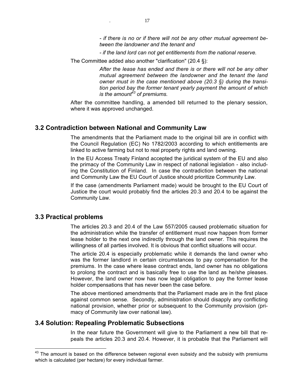*- if there is no or if there will not be any other mutual agreement between the landowner and the tenant and*

*- if the land lord can not get entitlements from the national reserve.*

The Committee added also another "clarification" (20.4 §):

*After the lease has ended and there is or there will not be any other mutual agreement between the landowner and the tenant the land owner must in the case mentioned above (20.3 §) during the transition period bay the former tenant yearly payment the amount of which is the amount<sup>43</sup> of premiums.* 

After the committee handling, a amended bill returned to the plenary session, where it was approved unchanged.

#### **3.2 Contradiction between National and Community Law**

The amendments that the Parliament made to the original bill are in conflict with the Council Regulation (EC) No 1782/2003 according to which entitlements are linked to active farming but not to real property rights and land owning.

In the EU Access Treaty Finland accepted the juridical system of the EU and also the primacy of the Community Law in respect of national legislation - also including the Constitution of Finland. In case the contradiction between the national and Community Law the EU Court of Justice should prioritize Community Law.

If the case (amendments Parliament made) would be brought to the EU Court of Justice the court would probably find the articles 20.3 and 20.4 to be against the Community Law.

#### **3.3 Practical problems**

The articles 20.3 and 20.4 of the Law 557/2005 caused problematic situation for the administration while the transfer of entitlement must now happen from former lease holder to the next one indirectly through the land owner. This requires the willingness of all parties involved. It is obvious that conflict situations will occur.

The article 20.4 is especially problematic while it demands the land owner who was the former landlord in certain circumstances to pay compensation for the premiums. In the case where lease contract ends, land owner has no obligations to prolong the contract and is basically free to use the land as he/she pleases. However, the land owner now has now legal obligation to pay the former lease holder compensations that has never been the case before.

The above mentioned amendments that the Parliament made are in the first place against common sense. Secondly, administration should disapply any conflicting national provision, whether prior or subsequent to the Community provision (primacy of Community law over national law).

#### **3.4 Solution: Repealing Problematic Subsections**

In the near future the Government will give to the Parliament a new bill that repeals the articles 20.3 and 20.4. However, it is probable that the Parliament will

 $43$  The amount is based on the difference between regional even subsidy and the subsidy with premiums which is calculated (per hectare) for every individual farmer.